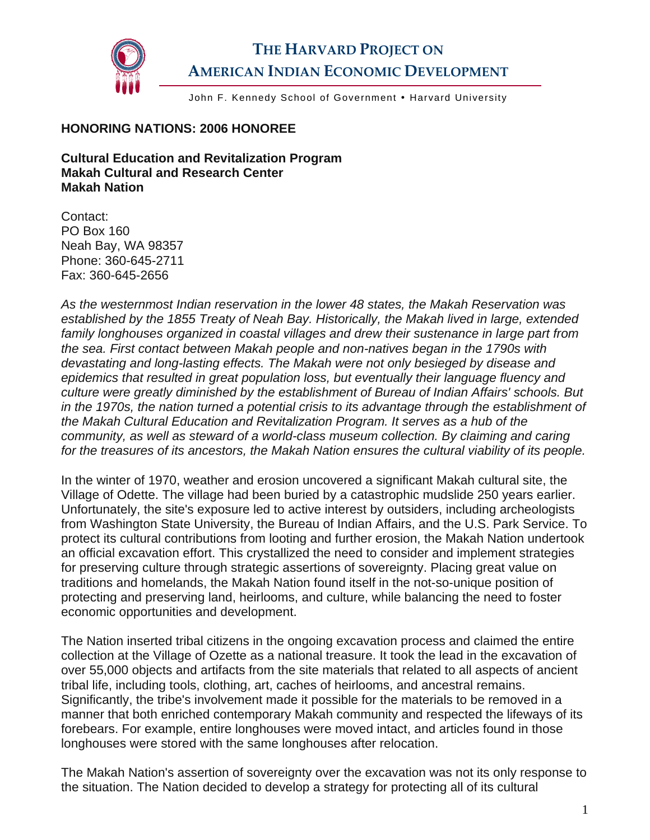

## **THE HARVARD PROJECT ON AMERICAN INDIAN ECONOMIC DEVELOPMENT**

John F. Kennedy School of Government . Harvard University

## **HONORING NATIONS: 2006 HONOREE**

**Cultural Education and Revitalization Program Makah Cultural and Research Center Makah Nation** 

Contact: PO Box 160 Neah Bay, WA 98357 Phone: 360-645-2711 Fax: 360-645-2656

*As the westernmost Indian reservation in the lower 48 states, the Makah Reservation was established by the 1855 Treaty of Neah Bay. Historically, the Makah lived in large, extended family longhouses organized in coastal villages and drew their sustenance in large part from the sea. First contact between Makah people and non-natives began in the 1790s with devastating and long-lasting effects. The Makah were not only besieged by disease and epidemics that resulted in great population loss, but eventually their language fluency and culture were greatly diminished by the establishment of Bureau of Indian Affairs' schools. But in the 1970s, the nation turned a potential crisis to its advantage through the establishment of the Makah Cultural Education and Revitalization Program. It serves as a hub of the community, as well as steward of a world-class museum collection. By claiming and caring for the treasures of its ancestors, the Makah Nation ensures the cultural viability of its people.* 

In the winter of 1970, weather and erosion uncovered a significant Makah cultural site, the Village of Odette. The village had been buried by a catastrophic mudslide 250 years earlier. Unfortunately, the site's exposure led to active interest by outsiders, including archeologists from Washington State University, the Bureau of Indian Affairs, and the U.S. Park Service. To protect its cultural contributions from looting and further erosion, the Makah Nation undertook an official excavation effort. This crystallized the need to consider and implement strategies for preserving culture through strategic assertions of sovereignty. Placing great value on traditions and homelands, the Makah Nation found itself in the not-so-unique position of protecting and preserving land, heirlooms, and culture, while balancing the need to foster economic opportunities and development.

The Nation inserted tribal citizens in the ongoing excavation process and claimed the entire collection at the Village of Ozette as a national treasure. It took the lead in the excavation of over 55,000 objects and artifacts from the site materials that related to all aspects of ancient tribal life, including tools, clothing, art, caches of heirlooms, and ancestral remains. Significantly, the tribe's involvement made it possible for the materials to be removed in a manner that both enriched contemporary Makah community and respected the lifeways of its forebears. For example, entire longhouses were moved intact, and articles found in those longhouses were stored with the same longhouses after relocation.

The Makah Nation's assertion of sovereignty over the excavation was not its only response to the situation. The Nation decided to develop a strategy for protecting all of its cultural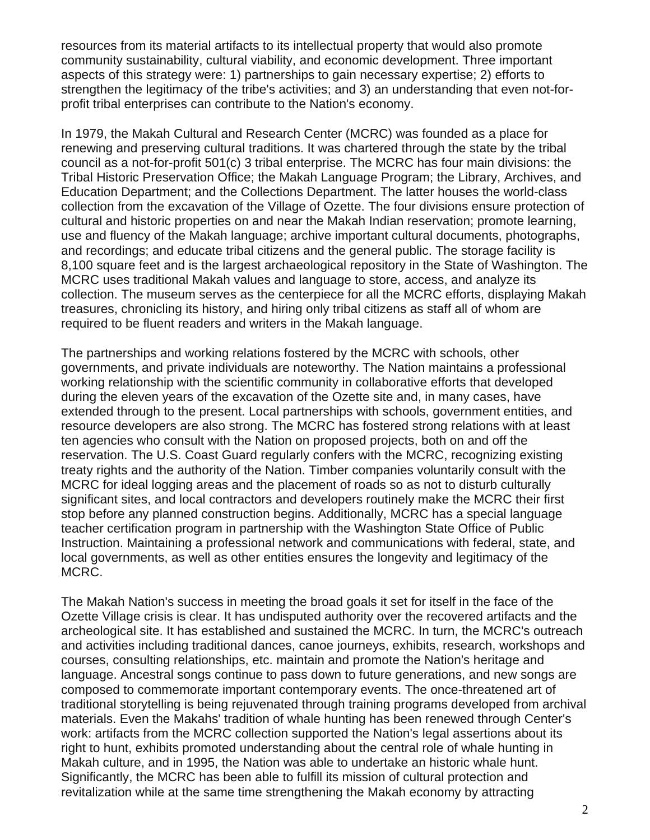resources from its material artifacts to its intellectual property that would also promote community sustainability, cultural viability, and economic development. Three important aspects of this strategy were: 1) partnerships to gain necessary expertise; 2) efforts to strengthen the legitimacy of the tribe's activities; and 3) an understanding that even not-forprofit tribal enterprises can contribute to the Nation's economy.

In 1979, the Makah Cultural and Research Center (MCRC) was founded as a place for renewing and preserving cultural traditions. It was chartered through the state by the tribal council as a not-for-profit 501(c) 3 tribal enterprise. The MCRC has four main divisions: the Tribal Historic Preservation Office; the Makah Language Program; the Library, Archives, and Education Department; and the Collections Department. The latter houses the world-class collection from the excavation of the Village of Ozette. The four divisions ensure protection of cultural and historic properties on and near the Makah Indian reservation; promote learning, use and fluency of the Makah language; archive important cultural documents, photographs, and recordings; and educate tribal citizens and the general public. The storage facility is 8,100 square feet and is the largest archaeological repository in the State of Washington. The MCRC uses traditional Makah values and language to store, access, and analyze its collection. The museum serves as the centerpiece for all the MCRC efforts, displaying Makah treasures, chronicling its history, and hiring only tribal citizens as staff all of whom are required to be fluent readers and writers in the Makah language.

The partnerships and working relations fostered by the MCRC with schools, other governments, and private individuals are noteworthy. The Nation maintains a professional working relationship with the scientific community in collaborative efforts that developed during the eleven years of the excavation of the Ozette site and, in many cases, have extended through to the present. Local partnerships with schools, government entities, and resource developers are also strong. The MCRC has fostered strong relations with at least ten agencies who consult with the Nation on proposed projects, both on and off the reservation. The U.S. Coast Guard regularly confers with the MCRC, recognizing existing treaty rights and the authority of the Nation. Timber companies voluntarily consult with the MCRC for ideal logging areas and the placement of roads so as not to disturb culturally significant sites, and local contractors and developers routinely make the MCRC their first stop before any planned construction begins. Additionally, MCRC has a special language teacher certification program in partnership with the Washington State Office of Public Instruction. Maintaining a professional network and communications with federal, state, and local governments, as well as other entities ensures the longevity and legitimacy of the MCRC.

The Makah Nation's success in meeting the broad goals it set for itself in the face of the Ozette Village crisis is clear. It has undisputed authority over the recovered artifacts and the archeological site. It has established and sustained the MCRC. In turn, the MCRC's outreach and activities including traditional dances, canoe journeys, exhibits, research, workshops and courses, consulting relationships, etc. maintain and promote the Nation's heritage and language. Ancestral songs continue to pass down to future generations, and new songs are composed to commemorate important contemporary events. The once-threatened art of traditional storytelling is being rejuvenated through training programs developed from archival materials. Even the Makahs' tradition of whale hunting has been renewed through Center's work: artifacts from the MCRC collection supported the Nation's legal assertions about its right to hunt, exhibits promoted understanding about the central role of whale hunting in Makah culture, and in 1995, the Nation was able to undertake an historic whale hunt. Significantly, the MCRC has been able to fulfill its mission of cultural protection and revitalization while at the same time strengthening the Makah economy by attracting